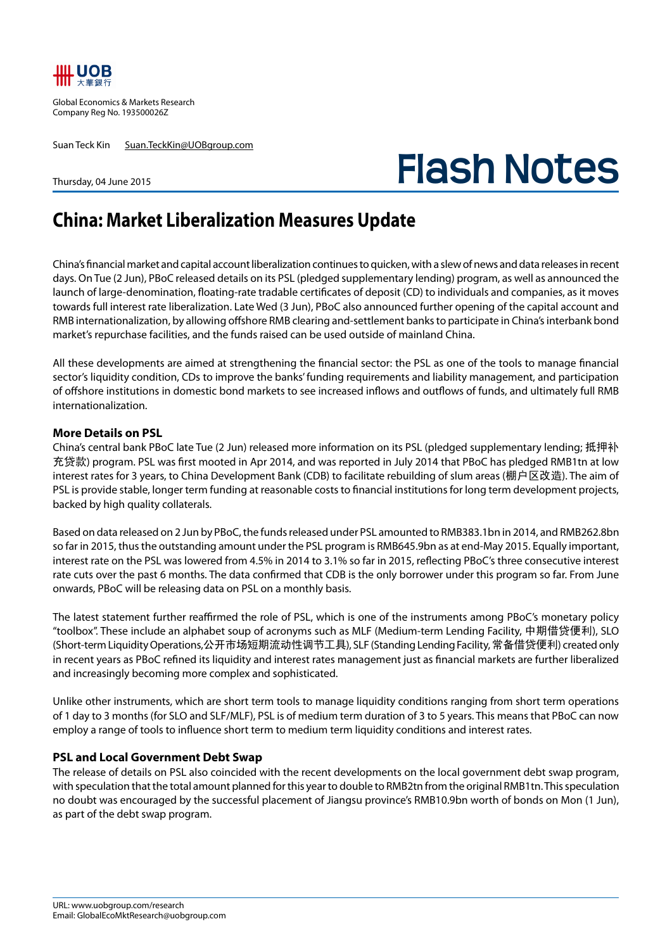

Global Economics & Markets Research Company Reg No. 193500026Z

Suan Teck Kin Suan.TeckKin@UOBgroup.com

Thursday, 04 June 2015

# **Flash Notes**

# **China: Market Liberalization Measures Update**

China's financial market and capital account liberalization continues to quicken, with a slew of news and data releases in recent days. On Tue (2 Jun), PBoC released details on its PSL (pledged supplementary lending) program, as well as announced the launch of large-denomination, floating-rate tradable certificates of deposit (CD) to individuals and companies, as it moves towards full interest rate liberalization. Late Wed (3 Jun), PBoC also announced further opening of the capital account and RMB internationalization, by allowing offshore RMB clearing and-settlement banks to participate in China's interbank bond market's repurchase facilities, and the funds raised can be used outside of mainland China.

All these developments are aimed at strengthening the financial sector: the PSL as one of the tools to manage financial sector's liquidity condition, CDs to improve the banks' funding requirements and liability management, and participation of offshore institutions in domestic bond markets to see increased inflows and outflows of funds, and ultimately full RMB internationalization.

#### **More Details on PSL**

China's central bank PBoC late Tue (2 Jun) released more information on its PSL (pledged supplementary lending; 抵押补 充贷款) program. PSL was first mooted in Apr 2014, and was reported in July 2014 that PBoC has pledged RMB1tn at low interest rates for 3 years, to China Development Bank (CDB) to facilitate rebuilding of slum areas (棚户区改造). The aim of PSL is provide stable, longer term funding at reasonable costs to financial institutions for long term development projects, backed by high quality collaterals.

Based on data released on 2 Jun by PBoC, the funds released under PSL amounted to RMB383.1bn in 2014, and RMB262.8bn so far in 2015, thus the outstanding amount under the PSL program is RMB645.9bn as at end-May 2015. Equally important, interest rate on the PSL was lowered from 4.5% in 2014 to 3.1% so far in 2015, reflecting PBoC's three consecutive interest rate cuts over the past 6 months. The data confirmed that CDB is the only borrower under this program so far. From June onwards, PBoC will be releasing data on PSL on a monthly basis.

The latest statement further reaffirmed the role of PSL, which is one of the instruments among PBoC's monetary policy "toolbox". These include an alphabet soup of acronyms such as MLF (Medium-term Lending Facility, 中期借贷便利), SLO (Short-term Liquidity Operations,公开市场短期流动性调节工具), SLF (Standing Lending Facility, 常备借贷便利) created only in recent years as PBoC refined its liquidity and interest rates management just as financial markets are further liberalized and increasingly becoming more complex and sophisticated.

Unlike other instruments, which are short term tools to manage liquidity conditions ranging from short term operations of 1 day to 3 months (for SLO and SLF/MLF), PSL is of medium term duration of 3 to 5 years. This means that PBoC can now employ a range of tools to influence short term to medium term liquidity conditions and interest rates.

#### **PSL and Local Government Debt Swap**

The release of details on PSL also coincided with the recent developments on the local government debt swap program, with speculation that the total amount planned for this year to double to RMB2tn from the original RMB1tn. This speculation no doubt was encouraged by the successful placement of Jiangsu province's RMB10.9bn worth of bonds on Mon (1 Jun), as part of the debt swap program.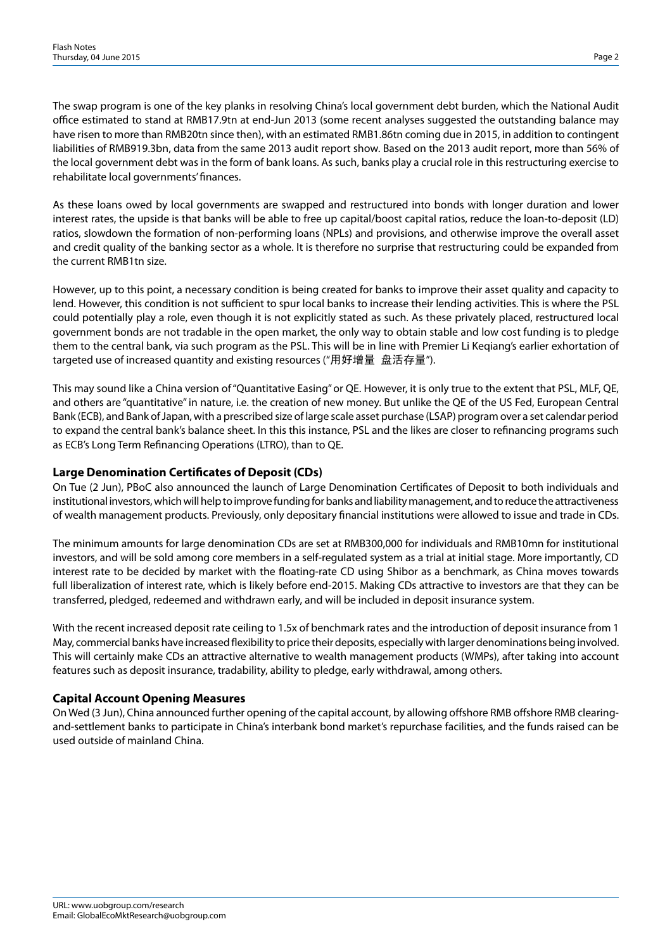The swap program is one of the key planks in resolving China's local government debt burden, which the National Audit office estimated to stand at RMB17.9tn at end-Jun 2013 (some recent analyses suggested the outstanding balance may have risen to more than RMB20tn since then), with an estimated RMB1.86tn coming due in 2015, in addition to contingent liabilities of RMB919.3bn, data from the same 2013 audit report show. Based on the 2013 audit report, more than 56% of the local government debt was in the form of bank loans. As such, banks play a crucial role in this restructuring exercise to rehabilitate local governments' finances.

As these loans owed by local governments are swapped and restructured into bonds with longer duration and lower interest rates, the upside is that banks will be able to free up capital/boost capital ratios, reduce the loan-to-deposit (LD) ratios, slowdown the formation of non-performing loans (NPLs) and provisions, and otherwise improve the overall asset and credit quality of the banking sector as a whole. It is therefore no surprise that restructuring could be expanded from the current RMB1tn size.

However, up to this point, a necessary condition is being created for banks to improve their asset quality and capacity to lend. However, this condition is not sufficient to spur local banks to increase their lending activities. This is where the PSL could potentially play a role, even though it is not explicitly stated as such. As these privately placed, restructured local government bonds are not tradable in the open market, the only way to obtain stable and low cost funding is to pledge them to the central bank, via such program as the PSL. This will be in line with Premier Li Keqiang's earlier exhortation of targeted use of increased quantity and existing resources ("用好增量 盘活存量").

This may sound like a China version of "Quantitative Easing" or QE. However, it is only true to the extent that PSL, MLF, QE, and others are "quantitative" in nature, i.e. the creation of new money. But unlike the QE of the US Fed, European Central Bank (ECB), and Bank of Japan, with a prescribed size of large scale asset purchase (LSAP) program over a set calendar period to expand the central bank's balance sheet. In this this instance, PSL and the likes are closer to refinancing programs such as ECB's Long Term Refinancing Operations (LTRO), than to QE.

## **Large Denomination Certificates of Deposit (CDs)**

On Tue (2 Jun), PBoC also announced the launch of Large Denomination Certificates of Deposit to both individuals and institutional investors, which will help to improve funding for banks and liability management, and to reduce the attractiveness of wealth management products. Previously, only depositary financial institutions were allowed to issue and trade in CDs.

The minimum amounts for large denomination CDs are set at RMB300,000 for individuals and RMB10mn for institutional investors, and will be sold among core members in a self-regulated system as a trial at initial stage. More importantly, CD interest rate to be decided by market with the floating-rate CD using Shibor as a benchmark, as China moves towards full liberalization of interest rate, which is likely before end-2015. Making CDs attractive to investors are that they can be transferred, pledged, redeemed and withdrawn early, and will be included in deposit insurance system.

With the recent increased deposit rate ceiling to 1.5x of benchmark rates and the introduction of deposit insurance from 1 May, commercial banks have increased flexibility to price their deposits, especially with larger denominations being involved. This will certainly make CDs an attractive alternative to wealth management products (WMPs), after taking into account features such as deposit insurance, tradability, ability to pledge, early withdrawal, among others.

### **Capital Account Opening Measures**

On Wed (3 Jun), China announced further opening of the capital account, by allowing offshore RMB offshore RMB clearingand-settlement banks to participate in China's interbank bond market's repurchase facilities, and the funds raised can be used outside of mainland China.